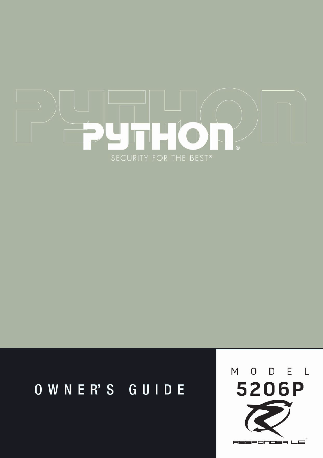

## OWNER'S GUIDE

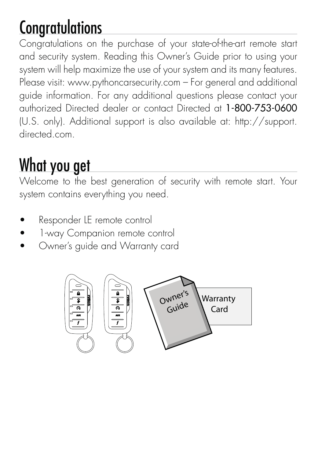## Congratulations

Congratulations on the purchase of your state-of-the-art remote start and security system. Reading this Owner's Guide prior to using your system will help maximize the use of your system and its many features. Please visit: www.pythoncarsecurity.com – For general and additional guide information. For any additional questions please contact your authorized Directed dealer or contact Directed at 1-800-753-0600 (U.S. only). Additional support is also available at: http://support. directed.com.

## What you get

Welcome to the best generation of security with remote start. Your system contains everything you need.

- Responder LE remote control
- 1-way Companion remote control
- Owner's guide and Warranty card

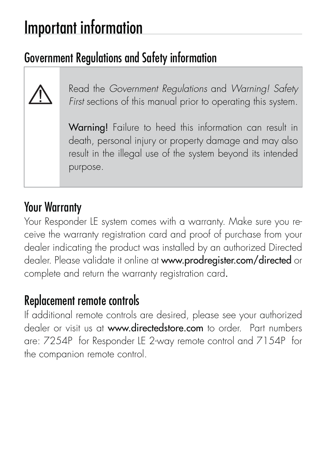## Important information

## Government Regulations and Safety information



Read the Government Regulations and Warning! Safety First sections of this manual prior to operating this system.

Warning! Failure to heed this information can result in death, personal injury or property damage and may also result in the illegal use of the system beyond its intended purpose.

### Your Warranty

Your Responder LE system comes with a warranty. Make sure you receive the warranty registration card and proof of purchase from your dealer indicating the product was installed by an authorized Directed dealer. Please validate it online at www.prodregister.com/directed or complete and return the warranty registration card.

#### Replacement remote controls

If additional remote controls are desired, please see your authorized dealer or visit us at www.directedstore.com to order. Part numbers are: 7254P for Responder LE 2-way remote control and 7154P for the companion remote control.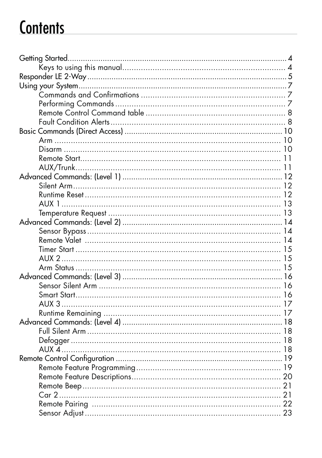## **Contents**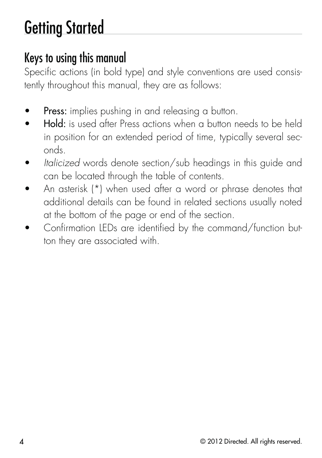# Getting Started

## Keys to using this manual

Specific actions (in bold type) and style conventions are used consistently throughout this manual, they are as follows:

- Press: implies pushing in and releasing a button.
- Hold: is used after Press actions when a button needs to be held in position for an extended period of time, typically several seconds.
- Italicized words denote section/sub headings in this guide and can be located through the table of contents.
- An asterisk (\*) when used after a word or phrase denotes that additional details can be found in related sections usually noted at the bottom of the page or end of the section.
- Confirmation LEDs are identified by the command/function button they are associated with.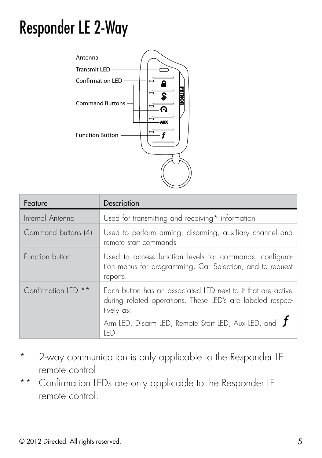## Responder LE 2-Way



| Feature                        | Description                                                                                                                              |  |
|--------------------------------|------------------------------------------------------------------------------------------------------------------------------------------|--|
| Internal Antenna               | Used for transmitting and receiving* information                                                                                         |  |
| Command buttons (4)            | Used to perform arming, disarming, auxiliary channel and<br>remote start commands                                                        |  |
| Function button                | Used to access function levels for commands, configura-<br>tion menus for programming, Car Selection, and to request<br>reports.         |  |
| Confirmation IFD <sup>**</sup> | Each button has an associated LED next to it that are active<br>during related operations. These LED's are labeled respec-<br>tively as: |  |
|                                | Arm LED, Disarm LED, Remote Start LED, Aux LED, and $J$<br>IFD                                                                           |  |

- \* 2-way communication is only applicable to the Responder LE remote control
- \*\* Confirmation LEDs are only applicable to the Responder LE remote control.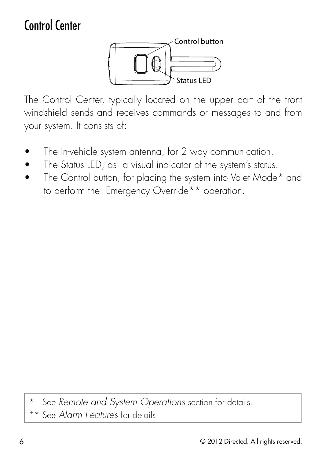## Control Center



The Control Center, typically located on the upper part of the front windshield sends and receives commands or messages to and from your system. It consists of:

- The In-vehicle system antenna, for 2 way communication.
- The Status LED, as a visual indicator of the system's status.
- The Control button, for placing the system into Valet Mode\* and to perform the Emergency Override\*\* operation.

See Remote and System Operations section for details.

See Alarm Features for details.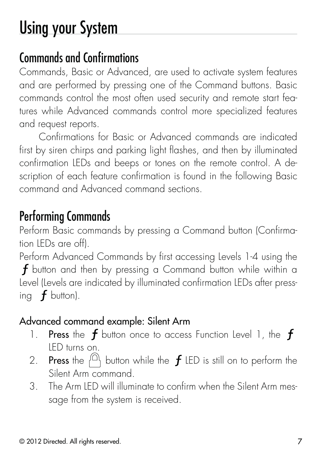# Using your System

### Commands and Confirmations

Commands, Basic or Advanced, are used to activate system features and are performed by pressing one of the Command buttons. Basic commands control the most often used security and remote start features while Advanced commands control more specialized features and request reports.

Confirmations for Basic or Advanced commands are indicated first by siren chirps and parking light flashes, and then by illuminated confirmation LEDs and beeps or tones on the remote control. A description of each feature confirmation is found in the following Basic command and Advanced command sections.

#### Performing Commands

Perform Basic commands by pressing a Command button (Confirmation LEDs are off).

Perform Advanced Commands by first accessing Levels 1-4 using the  $f$  button and then by pressing a Command button while within a Level (Levels are indicated by illuminated confirmation LEDs after pressing  $f$  button).

#### Advanced command example: Silent Arm

- 1. Press the  $f$  button once to access Function Level 1, the  $f$ LED turns on.
- 2. Press the  $\bigcap_{k=1}^{\infty}$  button while the  $f$  LED is still on to perform the Silent Arm command.
- 3. The Arm LED will illuminate to confirm when the Silent Arm message from the system is received.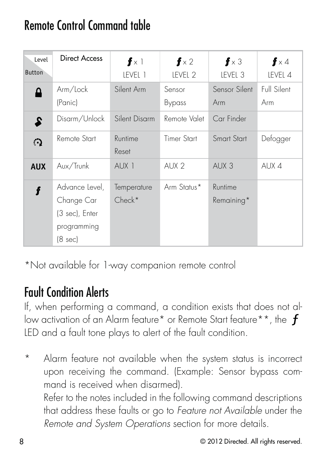### Remote Control Command table

| Level<br><b>Button</b> | <b>Direct Access</b>                                                     | $f \times 1$<br>LEVEL 1 | $f \times 2$<br>LEVEL 2 | $\mathbf{f} \times 3$<br>LEVEL 3 | $f \times 4$<br>LEVEL 4 |
|------------------------|--------------------------------------------------------------------------|-------------------------|-------------------------|----------------------------------|-------------------------|
| Δ                      | Arm/Lock<br>(Panic)                                                      | Silent Arm              | Sensor<br>Bypass        | Sensor Silent<br>Arm             | Full Silent<br>Arm      |
| 2                      | Disarm/Unlock                                                            | Silent Disarm           | Remote Valet            | Car Finder                       |                         |
| $\Omega$               | Remote Start                                                             | Runtime<br>Reset        | Timer Start             | Smart Start                      | Defogger                |
| <b>AUX</b>             | Aux/Trunk                                                                | AUX <sub>1</sub>        | AUX <sub>2</sub>        | AUX 3                            | AUX 4                   |
|                        | Advance Level,<br>Change Car<br>(3 sec), Enter<br>programming<br>(8 sec) | Temperature<br>$Check*$ | Arm Status*             | Runtime<br>Remaining*            |                         |

\*Not available for 1-way companion remote control

#### Fault Condition Alerts

If, when performing a command, a condition exists that does not allow activation of an Alarm feature\* or Remote Start feature\*\*, the f LED and a fault tone plays to alert of the fault condition.

Alarm feature not available when the system status is incorrect upon receiving the command. (Example: Sensor bypass command is received when disarmed). Refer to the notes included in the following command descriptions that address these faults or go to Feature not Available under the Remote and System Operations section for more details.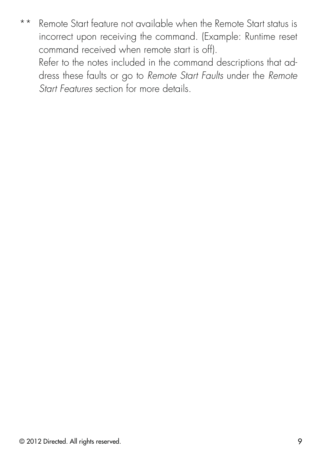\*\* Remote Start feature not available when the Remote Start status is incorrect upon receiving the command. (Example: Runtime reset command received when remote start is off). Refer to the notes included in the command descriptions that ad-

dress these faults or go to Remote Start Faults under the Remote Start Features section for more details.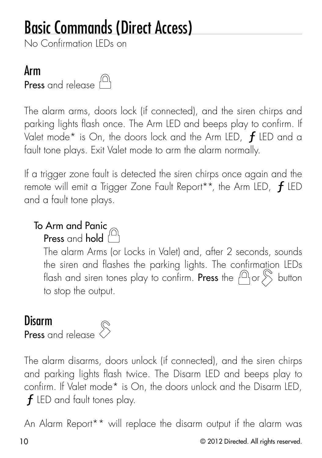## Basic Commands (Direct Access)

No Confirmation LEDs on

#### Arm

Press and release (<sup>a</sup>)

The alarm arms, doors lock (if connected), and the siren chirps and parking lights flash once. The Arm LED and beeps play to confirm. If Valet mode\* is On, the doors lock and the Arm LED,  $f$  LED and a fault tone plays. Exit Valet mode to arm the alarm normally.

If a trigger zone fault is detected the siren chirps once again and the remote will emit a Trigger Zone Fault Report\*\*, the Arm LED,  $f$  LED and a fault tone plays.

## To Arm and Panic

Press and hold

The alarm Arms (or Locks in Valet) and, after 2 seconds, sounds the siren and flashes the parking lights. The confirmation LEDs flash and siren tones play to confirm. Press the  $f^{\text{(A)}}$  or  $\sum$  button to stop the output.

#### Disarm



The alarm disarms, doors unlock (if connected), and the siren chirps and parking lights flash twice. The Disarm LED and beeps play to confirm. If Valet mode\* is On, the doors unlock and the Disarm LED,  $f$  LED and fault tones play.

An Alarm Report\*\* will replace the disarm output if the alarm was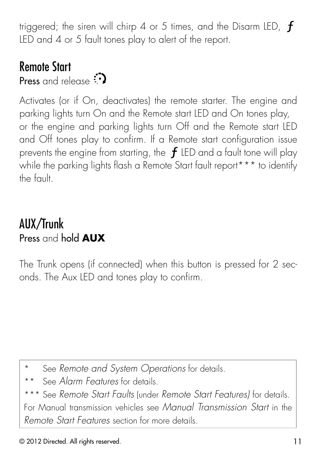triggered; the siren will chirp 4 or 5 times, and the Disarm LED,  $f$ LED and 4 or 5 fault tones play to alert of the report.

#### Remote Start

Press and release  $\odot$ 

Activates (or if On, deactivates) the remote starter. The engine and parking lights turn On and the Remote start LED and On tones play, or the engine and parking lights turn Off and the Remote start LED and Off tones play to confirm. If a Remote start configuration issue prevents the engine from starting, the  $f$  LED and a fault tone will play while the parking lights flash a Remote Start fault report\*\*\* to identify the fault.

#### AUX/Trunk Press and hold **AUX**

The Trunk opens (if connected) when this button is pressed for 2 seconds. The Aux LED and tones play to confirm.

- See Remote and System Operations for details.
- \*\* See Alarm Features for details.

\*\*\* See Remote Start Faults (under Remote Start Features) for details. For Manual transmission vehicles see Manual Transmission Start in the Remote Start Features section for more details.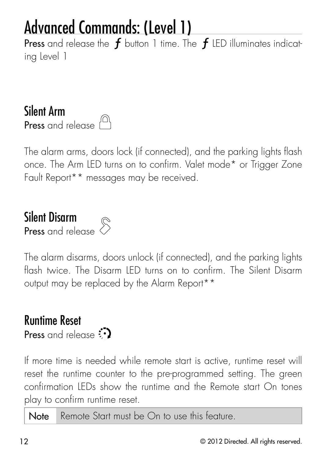## Advanced Commands: (Level 1)

Press and release the  $f$  button 1 time. The  $f$  LED illuminates indicating Level 1

Silent Arm Press and release  $\bigcap$ 

The alarm arms, doors lock (if connected), and the parking lights flash once. The Arm LED turns on to confirm. Valet mode\* or Trigger Zone Fault Report\*\* messages may be received.

### Silent Disarm Press and release



The alarm disarms, doors unlock (if connected), and the parking lights flash twice. The Disarm LED turns on to confirm. The Silent Disarm output may be replaced by the Alarm Report\*\*

## Runtime Reset

Press and release

If more time is needed while remote start is active, runtime reset will reset the runtime counter to the pre-programmed setting. The green confirmation LEDs show the runtime and the Remote start On tones play to confirm runtime reset.

Note Remote Start must be On to use this feature.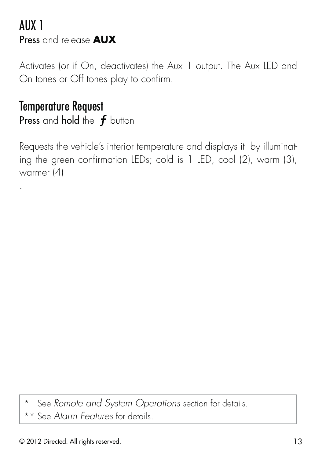#### AUX 1 Press and release **AUX**

Activates (or if On, deactivates) the Aux 1 output. The Aux LED and On tones or Off tones play to confirm.

#### Temperature Request

.

Press and hold the  $f$  button

Requests the vehicle's interior temperature and displays it by illuminating the green confirmation LEDs; cold is 1 LED, cool (2), warm (3), warmer (4)

\* See Remote and System Operations section for details.

\*\* See Alarm Features for details.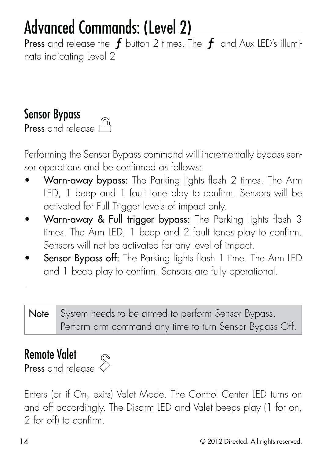## Advanced Commands: (Level 2)

Press and release the  $f$  button 2 times. The  $f$  and Aux LED's illuminate indicating Level 2

#### Sensor Bypass

Press and release  $\bigcap$ 

Performing the Sensor Bypass command will incrementally bypass sensor operations and be confirmed as follows:

- Warn-away bypass: The Parking lights flash 2 times. The Arm LED, 1 beep and 1 fault tone play to confirm. Sensors will be activated for Full Trigger levels of impact only.
- Warn-away & Full trigger bypass: The Parking lights flash 3 times. The Arm LED, 1 beep and 2 fault tones play to confirm. Sensors will not be activated for any level of impact.
- Sensor Bypass off: The Parking lights flash 1 time. The Arm LED and 1 beep play to confirm. Sensors are fully operational.

Note System needs to be armed to perform Sensor Bypass. Perform arm command any time to turn Sensor Bypass Off.

#### Remote Valet

Press and release



Enters (or if On, exits) Valet Mode. The Control Center LED turns on and off accordingly. The Disarm LED and Valet beeps play (1 for on, 2 for off) to confirm.

.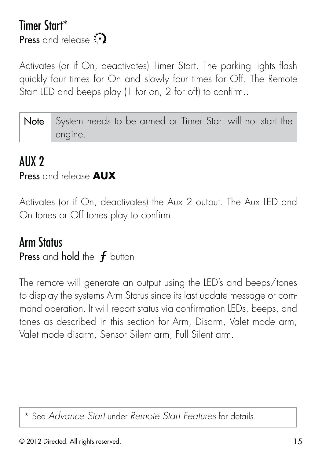#### Timer Start\* **Press** and release  $\mathbb{C}$

Activates (or if On, deactivates) Timer Start. The parking lights flash quickly four times for On and slowly four times for Off. The Remote Start LED and beeps play (1 for on, 2 for off) to confirm..

| Note System needs to be armed or Timer Start will not start the |
|-----------------------------------------------------------------|
| engine.                                                         |

#### AUX 2

#### Press and release **AUX**

Activates (or if On, deactivates) the Aux 2 output. The Aux LED and On tones or Off tones play to confirm.

#### Arm Status

Press and hold the  $f$  button

The remote will generate an output using the LED's and beeps/tones to display the systems Arm Status since its last update message or command operation. It will report status via confirmation LEDs, beeps, and tones as described in this section for Arm, Disarm, Valet mode arm, Valet mode disarm, Sensor Silent arm, Full Silent arm.

\* See Advance Start under Remote Start Features for details.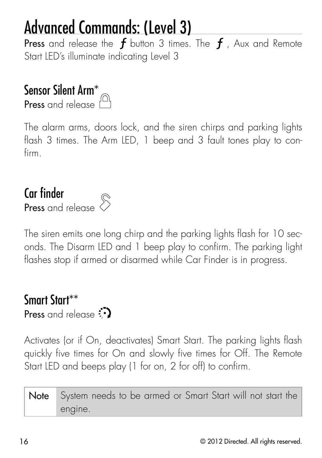## Advanced Commands: (Level 3)

Press and release the  $f$  button 3 times. The  $f$  , Aux and Remote Start LED's illuminate indicating Level 3

## Sensor Silent Arm\*

Press and release



The alarm arms, doors lock, and the siren chirps and parking lights flash 3 times. The Arm LED, 1 beep and 3 fault tones play to confirm.

#### Car finder Press and release

The siren emits one long chirp and the parking lights flash for 10 seconds. The Disarm LED and 1 beep play to confirm. The parking light flashes stop if armed or disarmed while Car Finder is in progress.

#### Smart Start\*\* Press and release  $\odot$

Activates (or if On, deactivates) Smart Start. The parking lights flash quickly five times for On and slowly five times for Off. The Remote Start LED and beeps play (1 for on, 2 for off) to confirm.

Note System needs to be armed or Smart Start will not start the engine.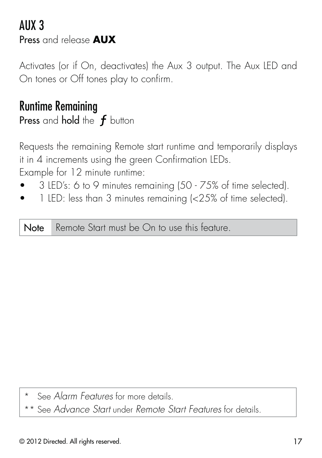#### AUX 3 Press and release **AUX**

Activates (or if On, deactivates) the Aux 3 output. The Aux LED and On tones or Off tones play to confirm.

#### Runtime Remaining

Press and hold the  $f$  button

Requests the remaining Remote start runtime and temporarily displays it in 4 increments using the green Confirmation LEDs. Example for 12 minute runtime:

- s 3 LED's: 6 to 9 minutes remaining (50 75% of time selected).
- 1 LED: less than 3 minutes remaining (<25% of time selected).

Note Remote Start must be On to use this feature.

See Alarm Features for more details.

\*\* See Advance Start under Remote Start Features for details.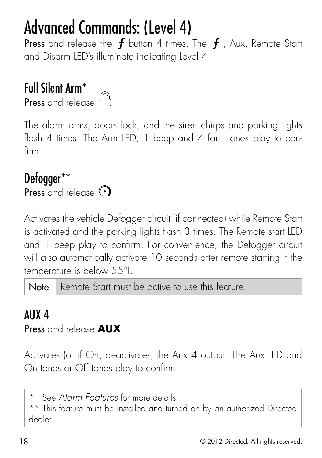## Advanced Commands: (Level 4)

Press and release the  $f$  button 4 times. The  $f$  , Aux, Remote Start and Disarm LED's illuminate indicating Level 4

### Full Silent Arm\*



The alarm arms, doors lock, and the siren chirps and parking lights flash 4 times. The Arm LED, 1 beep and 4 fault tones play to confirm.

#### Defogger\*\*

Press and release

Activates the vehicle Defogger circuit (if connected) while Remote Start is activated and the parking lights flash 3 times. The Remote start LED and 1 beep play to confirm. For convenience, the Defogger circuit will also automatically activate 10 seconds after remote starting if the temperature is below 55°F.

Note Remote Start must be active to use this feature.

#### AUX 4

Press and release **AUX**

Activates (or if On, deactivates) the Aux 4 output. The Aux LED and On tones or Off tones play to confirm.

\* See Alarm Features for more details.

\*\* This feature must be installed and turned on by an authorized Directed dealer.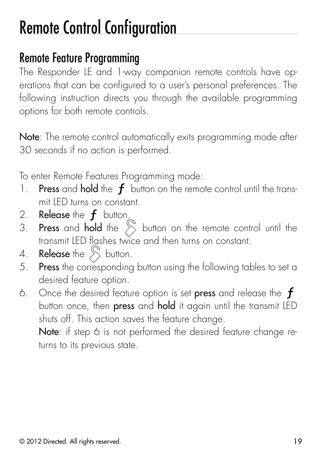## Remote Control Configuration

#### Remote Feature Programming

The Responder LE and 1-way companion remote controls have operations that can be configured to a user's personal preferences. The following instruction directs you through the available programming options for both remote controls.

Note: The remote control automatically exits programming mode after 30 seconds if no action is performed.

To enter Remote Features Programming mode:

- 1. Press and hold the  $f$  button on the remote control until the transmit LED turns on constant.
- 2. Release the  $f$  button.
- 3. Press and hold the  $\sum$  button on the remote control until the transmit LED flashes twice and then turns on constant.
- 4. **Release** the  $\sum$  button.
- 5. Press the corresponding button using the following tables to set a desired feature option.
- 6. Once the desired feature option is set press and release the  $f$ button once, then press and hold it again until the transmit LED shuts off. This action saves the feature change.

Note: if step 6 is not performed the desired feature change returns to its previous state.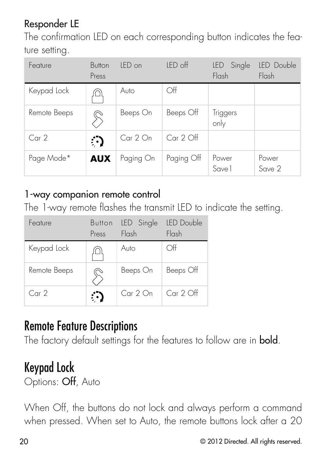#### Responder LE

The confirmation LED on each corresponding button indicates the feature setting.

| Feature          | Button<br>Press | IFD on    | LED off     | Single<br>LED.<br>Flash | LED Double<br>Flash |
|------------------|-----------------|-----------|-------------|-------------------------|---------------------|
| Keypad Lock      | ⊔ו              | Auto      | Off         |                         |                     |
| Remote Beeps     |                 | Beeps On  | Beeps Off   | Triggers<br>only        |                     |
| Car <sub>2</sub> | ்               | Car 2 On  | $Car 2$ Off |                         |                     |
| Page Mode*       | <b>AUX</b>      | Paging On | Paging Off  | Power<br>Save 1         | Power<br>Save 2     |

#### 1-way companion remote control

The 1-way remote flashes the transmit LED to indicate the setting.

| Feature      | Press | Button LED Single<br>Flash | LED Double<br>Flash |
|--------------|-------|----------------------------|---------------------|
| Keypad Lock  |       | Auto                       | ∩ff                 |
| Remote Beeps |       | Beeps On                   | Beeps Off           |
| Car2         |       | Car 2 On                   | $Car 2$ Off         |

#### Remote Feature Descriptions

The factory default settings for the features to follow are in **bold**.

#### Keypad Lock

Options: Off, Auto

When Off, the buttons do not lock and always perform a command when pressed. When set to Auto, the remote buttons lock after a 20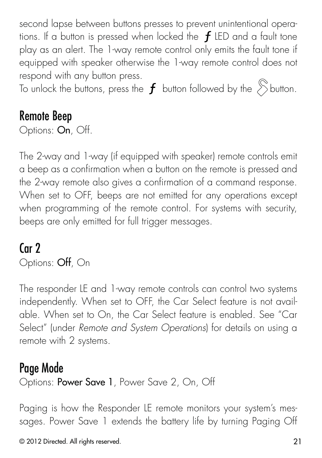second lapse between buttons presses to prevent unintentional operations. If a button is pressed when locked the  $f$  LED and a fault tone play as an alert. The 1-way remote control only emits the fault tone if equipped with speaker otherwise the 1-way remote control does not respond with any button press.

To unlock the buttons, press the  $f$  button followed by the  $\hat{\mathcal{S}}$ button.

#### Remote Beep

Options: On, Off.

The 2-way and 1-way (if equipped with speaker) remote controls emit a beep as a confirmation when a button on the remote is pressed and the 2-way remote also gives a confirmation of a command response. When set to OFF, beeps are not emitted for any operations except when programming of the remote control. For systems with security, beeps are only emitted for full trigger messages.

#### Car 2

Options: Off, On

The responder LE and 1-way remote controls can control two systems independently. When set to OFF, the Car Select feature is not available. When set to On, the Car Select feature is enabled. See "Car Select" (under Remote and System Operations) for details on using a remote with 2 systems.

#### Page Mode

Options: Power Save 1, Power Save 2, On, Off

Paging is how the Responder LE remote monitors your system's messages. Power Save 1 extends the battery life by turning Paging Off

© 2012 Directed. All rights reserved. 21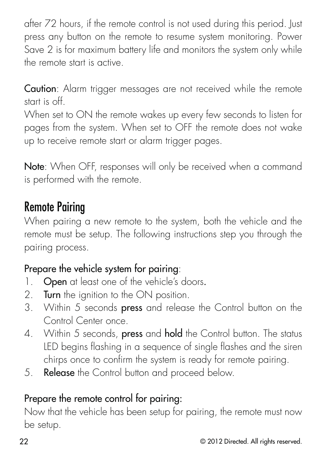after 72 hours, if the remote control is not used during this period. Just press any button on the remote to resume system monitoring. Power Save 2 is for maximum battery life and monitors the system only while the remote start is active.

Caution: Alarm trigger messages are not received while the remote start is off.

When set to ON the remote wakes up every few seconds to listen for pages from the system. When set to OFF the remote does not wake up to receive remote start or alarm trigger pages.

Note: When OFF, responses will only be received when a command is performed with the remote.

#### Remote Pairing

When pairing a new remote to the system, both the vehicle and the remote must be setup. The following instructions step you through the pairing process.

#### Prepare the vehicle system for pairing:

- 1. Open at least one of the vehicle's doors.
- 2. Turn the ignition to the ON position.
- 3. Within 5 seconds **press** and release the Control button on the Control Center once.
- 4. Within 5 seconds, press and hold the Control button. The status LED begins flashing in a sequence of single flashes and the siren chirps once to confirm the system is ready for remote pairing.
- 5. Release the Control button and proceed below.

#### Prepare the remote control for pairing:

Now that the vehicle has been setup for pairing, the remote must now be setup.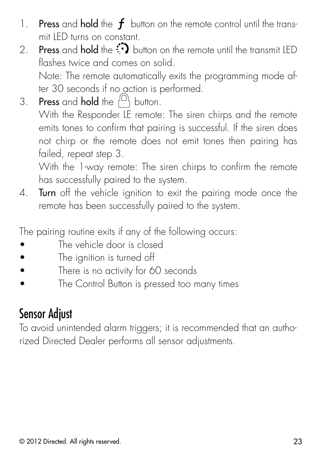- 1. Press and hold the  $f$  button on the remote control until the transmit LED turns on constant.
- 2. Press and hold the  $\ddot{\ddot{\cdot}}$  button on the remote until the transmit LED flashes twice and comes on solid. Note: The remote automatically exits the programming mode after 30 seconds if no action is performed.
- 3. Press and hold the  $\{^{\Omega}\}$  button.

With the Responder LE remote: The siren chirps and the remote emits tones to confirm that pairing is successful. If the siren does not chirp or the remote does not emit tones then pairing has failed, repeat step 3.

With the 1-way remote: The siren chirps to confirm the remote has successfully paired to the system.

4. Turn off the vehicle ignition to exit the pairing mode once the remote has been successfully paired to the system.

The pairing routine exits if any of the following occurs:

- $\bullet$  The vehicle door is closed
- The ignition is turned off
- There is no activity for 60 seconds
- The Control Button is pressed too many times

#### Sensor Adjust

To avoid unintended alarm triggers; it is recommended that an authorized Directed Dealer performs all sensor adjustments.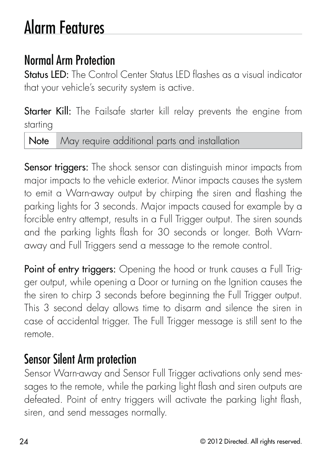## Alarm Features

### Normal Arm Protection

Status LED: The Control Center Status LED flashes as a visual indicator that your vehicle's security system is active.

Starter Kill: The Failsafe starter kill relay prevents the engine from starting

Note May require additional parts and installation

Sensor triggers: The shock sensor can distinguish minor impacts from major impacts to the vehicle exterior. Minor impacts causes the system to emit a Warn-away output by chirping the siren and flashing the parking lights for 3 seconds. Major impacts caused for example by a forcible entry attempt, results in a Full Trigger output. The siren sounds and the parking lights flash for 30 seconds or longer. Both Warnaway and Full Triggers send a message to the remote control.

Point of entry triggers: Opening the hood or trunk causes a Full Trigger output, while opening a Door or turning on the Ignition causes the the siren to chirp 3 seconds before beginning the Full Trigger output. This 3 second delay allows time to disarm and silence the siren in case of accidental trigger. The Full Trigger message is still sent to the remote.

#### Sensor Silent Arm protection

Sensor Warn-away and Sensor Full Trigger activations only send messages to the remote, while the parking light flash and siren outputs are defeated. Point of entry triggers will activate the parking light flash, siren, and send messages normally.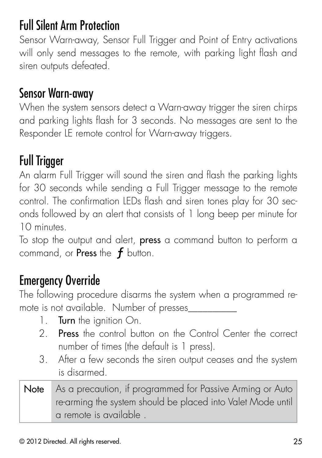### Full Silent Arm Protection

Sensor Warn-away, Sensor Full Trigger and Point of Entry activations will only send messages to the remote, with parking light flash and siren outputs defeated.

#### Sensor Warn-away

When the system sensors detect a Warn-away trigger the siren chirps and parking lights flash for 3 seconds. No messages are sent to the Responder LE remote control for Warn-away triggers.

## Full Trigger

An alarm Full Trigger will sound the siren and flash the parking lights for 30 seconds while sending a Full Trigger message to the remote control. The confirmation LEDs flash and siren tones play for 30 seconds followed by an alert that consists of 1 long beep per minute for 10 minutes.

To stop the output and alert, **press** a command button to perform a command, or Press the  $f$  button.

### Emergency Override

The following procedure disarms the system when a programmed remote is not available. Number of presses\_\_\_\_\_\_\_\_\_\_

- 1. Turn the ignition On.
- 2. **Press** the control button on the Control Center the correct number of times (the default is 1 press).
- 3. After a few seconds the siren output ceases and the system is disarmed.
- Note As a precaution, if programmed for Passive Arming or Auto re-arming the system should be placed into Valet Mode until a remote is available .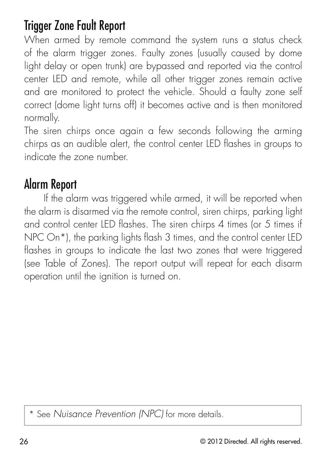#### Trigger Zone Fault Report

When armed by remote command the system runs a status check of the alarm trigger zones. Faulty zones (usually caused by dome light delay or open trunk) are bypassed and reported via the control center LED and remote, while all other trigger zones remain active and are monitored to protect the vehicle. Should a faulty zone self correct (dome light turns off) it becomes active and is then monitored normally.

The siren chirps once again a few seconds following the arming chirps as an audible alert, the control center LED flashes in groups to indicate the zone number.

#### Alarm Report

If the alarm was triggered while armed, it will be reported when the alarm is disarmed via the remote control, siren chirps, parking light and control center LED flashes. The siren chirps 4 times (or 5 times if NPC On<sup>\*</sup>), the parking lights flash 3 times, and the control center LED flashes in groups to indicate the last two zones that were triggered (see Table of Zones). The report output will repeat for each disarm operation until the ignition is turned on.

\* See Nuisance Prevention (NPC) for more details.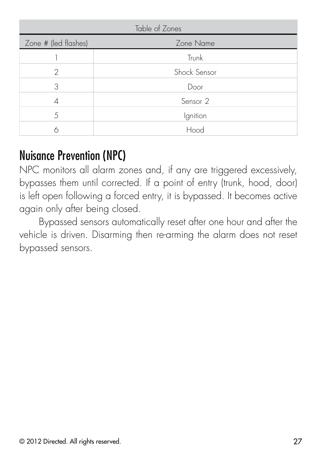| Table of Zones       |                     |  |
|----------------------|---------------------|--|
| Zone # (led flashes) | Zone Name           |  |
|                      | Trunk               |  |
| 2                    | Shock Sensor        |  |
| 3                    | Door                |  |
| 4                    | Sensor <sub>2</sub> |  |
| 5                    | Ignition            |  |
|                      | Hood                |  |

#### Nuisance Prevention (NPC)

NPC monitors all alarm zones and, if any are triggered excessively, bypasses them until corrected. If a point of entry (trunk, hood, door) is left open following a forced entry, it is bypassed. It becomes active again only after being closed.

Bypassed sensors automatically reset after one hour and after the vehicle is driven. Disarming then re-arming the alarm does not reset bypassed sensors.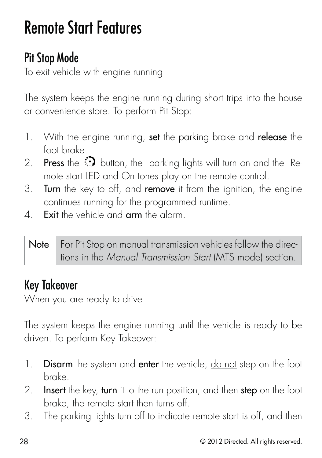## Remote Start Features

## Pit Stop Mode

To exit vehicle with engine running

The system keeps the engine running during short trips into the house or convenience store. To perform Pit Stop:

- 1. With the engine running, set the parking brake and release the foot brake.
- 2. **Press** the  $\bigcirc$  button, the parking lights will turn on and the Remote start LED and On tones play on the remote control.
- 3. Turn the key to off, and remove it from the ignition, the engine continues running for the programmed runtime.
- 4. **Exit** the vehicle and **arm** the alarm.

Note For Pit Stop on manual transmission vehicles follow the directions in the Manual Transmission Start (MTS mode) section.

### Key Takeover

When you are ready to drive

The system keeps the engine running until the vehicle is ready to be driven. To perform Key Takeover:

- 1. Disarm the system and enter the vehicle, do not step on the foot brake.
- 2. **Insert** the key, turn it to the run position, and then step on the foot brake, the remote start then turns off.
- 3. The parking lights turn off to indicate remote start is off, and then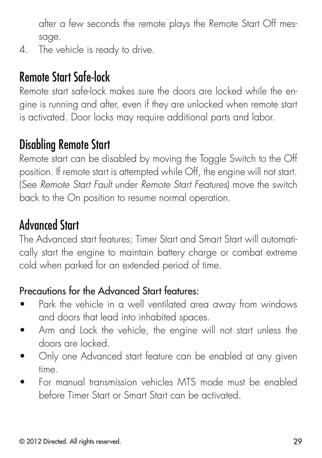after a few seconds the remote plays the Remote Start Off message.

4. The vehicle is ready to drive.

### Remote Start Safe-lock

Remote start safe-lock makes sure the doors are locked while the engine is running and after, even if they are unlocked when remote start is activated. Door locks may require additional parts and labor.

#### Disabling Remote Start

Remote start can be disabled by moving the Toggle Switch to the Off position. If remote start is attempted while Off, the engine will not start. (See Remote Start Fault under Remote Start Features) move the switch back to the On position to resume normal operation.

### Advanced Start

The Advanced start features; Timer Start and Smart Start will automatically start the engine to maintain battery charge or combat extreme cold when parked for an extended period of time.

#### Precautions for the Advanced Start features:

- Park the vehicle in a well ventilated area away from windows and doors that lead into inhabited spaces.
- Arm and Lock the vehicle, the engine will not start unless the doors are locked.
- Only one Advanced start feature can be enabled at any given time.
- For manual transmission vehicles MTS mode must be enabled before Timer Start or Smart Start can be activated.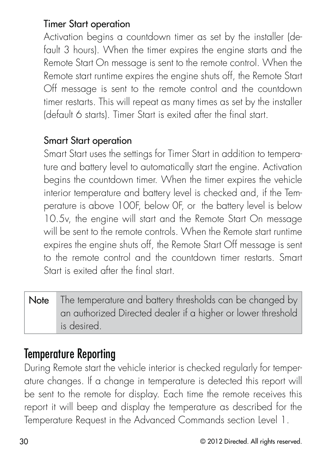#### Timer Start operation

Activation begins a countdown timer as set by the installer (default 3 hours). When the timer expires the engine starts and the Remote Start On message is sent to the remote control. When the Remote start runtime expires the engine shuts off, the Remote Start Off message is sent to the remote control and the countdown timer restarts. This will repeat as many times as set by the installer (default 6 starts). Timer Start is exited after the final start.

#### Smart Start operation

Smart Start uses the settings for Timer Start in addition to temperature and battery level to automatically start the engine. Activation begins the countdown timer. When the timer expires the vehicle interior temperature and battery level is checked and, if the Temperature is above 100F, below 0F, or the battery level is below 10.5v, the engine will start and the Remote Start On message will be sent to the remote controls. When the Remote start runtime expires the engine shuts off, the Remote Start Off message is sent to the remote control and the countdown timer restarts. Smart Start is exited after the final start.

Note The temperature and battery thresholds can be changed by an authorized Directed dealer if a higher or lower threshold is desired.

#### Temperature Reporting

During Remote start the vehicle interior is checked regularly for temperature changes. If a change in temperature is detected this report will be sent to the remote for display. Each time the remote receives this report it will beep and display the temperature as described for the Temperature Request in the Advanced Commands section Level 1.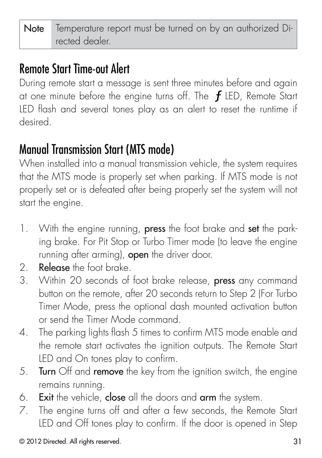### Remote Start Time-out Alert

During remote start a message is sent three minutes before and again at one minute before the engine turns off. The  $f$  LED, Remote Start LED flash and several tones play as an alert to reset the runtime if desired.

### Manual Transmission Start (MTS mode)

When installed into a manual transmission vehicle, the system requires that the MTS mode is properly set when parking. If MTS mode is not properly set or is defeated after being properly set the system will not start the engine.

- 1. With the engine running, **press** the foot brake and **set** the parking brake. For Pit Stop or Turbo Timer mode (to leave the engine running after arming), open the driver door.
- 2. Release the foot brake.
- 3. Within 20 seconds of foot brake release, press any command button on the remote, after 20 seconds return to Step 2 (For Turbo Timer Mode, press the optional dash mounted activation button or send the Timer Mode command.
- 4. The parking lights flash 5 times to confirm MTS mode enable and the remote start activates the ignition outputs. The Remote Start LED and On tones play to confirm.
- 5. **Turn** Off and **remove** the key from the ignition switch, the engine remains running.
- 6. Exit the vehicle, close all the doors and arm the system.
- 7. The engine turns off and after a few seconds, the Remote Start LED and Off tones play to confirm. If the door is opened in Step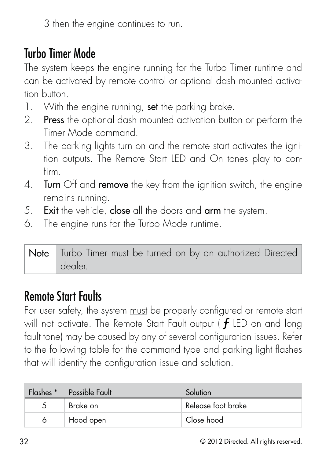3 then the engine continues to run.

#### Turbo Timer Mode

The system keeps the engine running for the Turbo Timer runtime and can be activated by remote control or optional dash mounted activation button.

- 1. With the engine running, set the parking brake.
- 2. Press the optional dash mounted activation button or perform the Timer Mode command.
- 3. The parking lights turn on and the remote start activates the ignition outputs. The Remote Start LED and On tones play to confirm.
- 4. Turn Off and remove the key from the ignition switch, the engine remains running.
- 5. Exit the vehicle, close all the doors and arm the system.
- 6. The engine runs for the Turbo Mode runtime.

Note Turbo Timer must be turned on by an authorized Directed dealer.

#### Remote Start Faults

For user safety, the system must be properly configured or remote start will not activate. The Remote Start Fault output ( $f$  LED on and long fault tone) may be caused by any of several configuration issues. Refer to the following table for the command type and parking light flashes that will identify the configuration issue and solution.

|   | Flashes * Possible Fault | Solution           |
|---|--------------------------|--------------------|
| 5 | Brake on                 | Release foot brake |
| 6 | Hood open                | Close hood         |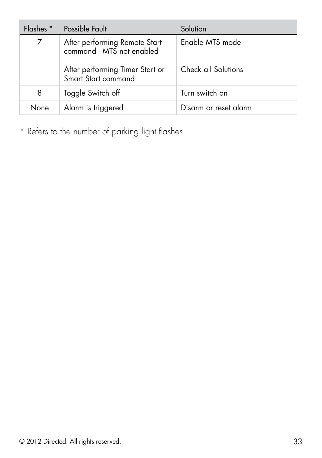| Flashes * | Possible Fault                                             | Solution              |
|-----------|------------------------------------------------------------|-----------------------|
|           | After performing Remote Start<br>command - MTS not enabled | Enable MTS mode       |
|           | After performing Timer Start or<br>Smart Start command     | Check all Solutions   |
| 8         | Toggle Switch off                                          | Turn switch on        |
| None      | Alarm is triggered                                         | Disarm or reset alarm |

\* Refers to the number of parking light flashes.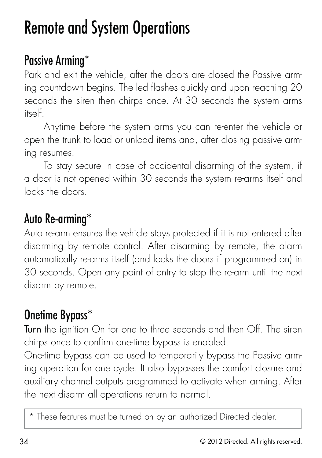## Remote and System Operations

### Passive Arming\*

Park and exit the vehicle, after the doors are closed the Passive arming countdown begins. The led flashes quickly and upon reaching 20 seconds the siren then chirps once. At 30 seconds the system arms itself.

Anytime before the system arms you can re-enter the vehicle or open the trunk to load or unload items and, after closing passive arming resumes.

To stay secure in case of accidental disarming of the system, if a door is not opened within 30 seconds the system re-arms itself and locks the doors.

### Auto Re-arming\*

Auto re-arm ensures the vehicle stays protected if it is not entered after disarming by remote control. After disarming by remote, the alarm automatically re-arms itself (and locks the doors if programmed on) in 30 seconds. Open any point of entry to stop the re-arm until the next disarm by remote.

## Onetime Bypass\*

Turn the ignition On for one to three seconds and then Off. The siren chirps once to confirm one-time bypass is enabled.

One-time bypass can be used to temporarily bypass the Passive arming operation for one cycle. It also bypasses the comfort closure and auxiliary channel outputs programmed to activate when arming. After the next disarm all operations return to normal.

\* These features must be turned on by an authorized Directed dealer.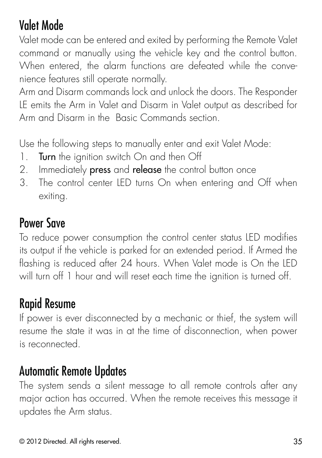## Valet Mode

Valet mode can be entered and exited by performing the Remote Valet command or manually using the vehicle key and the control button. When entered, the alarm functions are defeated while the convenience features still operate normally.

Arm and Disarm commands lock and unlock the doors. The Responder LE emits the Arm in Valet and Disarm in Valet output as described for Arm and Disarm in the Basic Commands section.

Use the following steps to manually enter and exit Valet Mode:

- 1. Turn the ignition switch On and then Off
- 2. Immediately press and release the control button once
- 3. The control center LED turns On when entering and Off when exiting.

#### Power Save

To reduce power consumption the control center status LED modifies its output if the vehicle is parked for an extended period. If Armed the flashing is reduced after 24 hours. When Valet mode is On the LED will turn off 1 hour and will reset each time the ignition is turned off.

### Rapid Resume

If power is ever disconnected by a mechanic or thief, the system will resume the state it was in at the time of disconnection, when power is reconnected.

#### Automatic Remote Updates

The system sends a silent message to all remote controls after any major action has occurred. When the remote receives this message it updates the Arm status.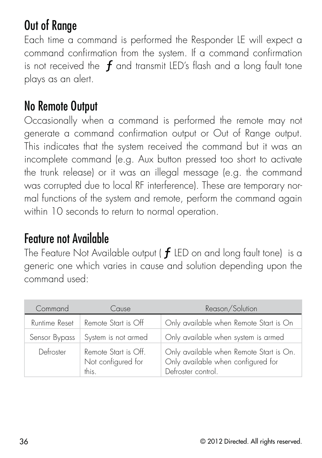## Out of Range

Each time a command is performed the Responder LE will expect a command confirmation from the system. If a command confirmation is not received the  $f$  and transmit LED's flash and a long fault tone plays as an alert.

#### No Remote Output

Occasionally when a command is performed the remote may not generate a command confirmation output or Out of Range output. This indicates that the system received the command but it was an incomplete command (e.g. Aux button pressed too short to activate the trunk release) or it was an illegal message (e.g. the command was corrupted due to local RF interference). These are temporary normal functions of the system and remote, perform the command again within 10 seconds to return to normal operation.

#### Feature not Available

The Feature Not Available output ( $f$  LED on and long fault tone) is a generic one which varies in cause and solution depending upon the command used:

| Command       | Cause                                               | Reason/Solution                                                                                     |
|---------------|-----------------------------------------------------|-----------------------------------------------------------------------------------------------------|
| Runtime Reset | Remote Start is Off                                 | Only available when Remote Start is On                                                              |
| Sensor Bypass | System is not armed                                 | Only available when system is armed                                                                 |
| Defroster     | Remote Start is Off.<br>Not configured for<br>this. | Only available when Remote Start is On.<br>Only available when configured for<br>Defroster control. |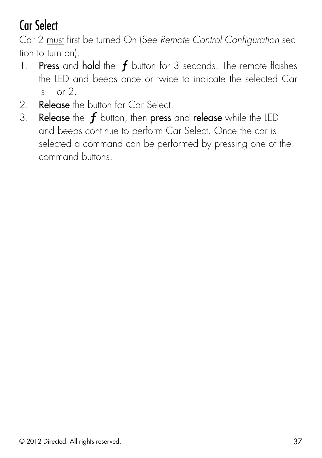## Car Select

Car 2 must first be turned On (See Remote Control Configuration section to turn on).

- 1. Press and hold the  $f$  button for 3 seconds. The remote flashes the LED and beeps once or twice to indicate the selected Car is 1 or 2.
- 2. **Release** the button for Car Select.
- 3. Release the  $f$  button, then press and release while the LED and beeps continue to perform Car Select. Once the car is selected a command can be performed by pressing one of the command buttons.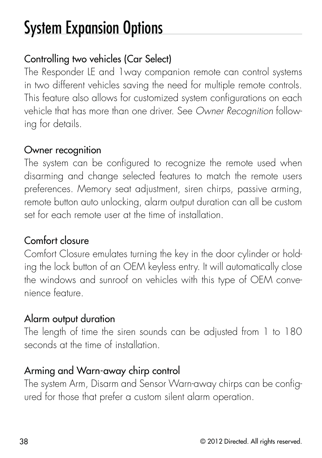## System Expansion Options

#### Controlling two vehicles (Car Select)

The Responder LE and 1way companion remote can control systems in two different vehicles saving the need for multiple remote controls. This feature also allows for customized system configurations on each vehicle that has more than one driver. See Owner Recognition following for details.

#### Owner recognition

The system can be configured to recognize the remote used when disarming and change selected features to match the remote users preferences. Memory seat adjustment, siren chirps, passive arming, remote button auto unlocking, alarm output duration can all be custom set for each remote user at the time of installation.

#### Comfort closure

Comfort Closure emulates turning the key in the door cylinder or holding the lock button of an OEM keyless entry. It will automatically close the windows and sunroof on vehicles with this type of OEM convenience feature.

#### Alarm output duration

The length of time the siren sounds can be adjusted from 1 to 180 seconds at the time of installation.

#### Arming and Warn-away chirp control

The system Arm, Disarm and Sensor Warn-away chirps can be configured for those that prefer a custom silent alarm operation.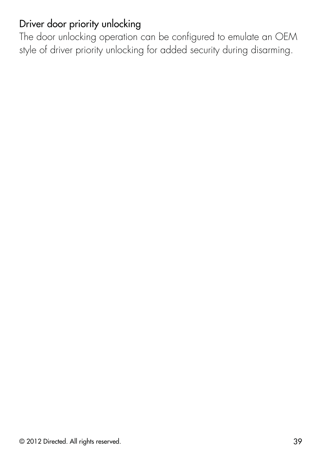#### Driver door priority unlocking

The door unlocking operation can be configured to emulate an OEM style of driver priority unlocking for added security during disarming.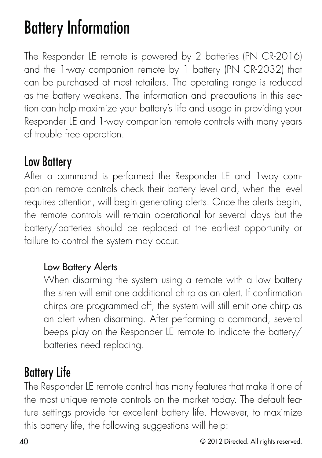# Battery Information

The Responder LE remote is powered by 2 batteries (PN CR-2016) and the 1-way companion remote by 1 battery (PN CR-2032) that can be purchased at most retailers. The operating range is reduced as the battery weakens. The information and precautions in this section can help maximize your battery's life and usage in providing your Responder LE and 1-way companion remote controls with many years of trouble free operation.

#### Low Battery

After a command is performed the Responder LE and 1way companion remote controls check their battery level and, when the level requires attention, will begin generating alerts. Once the alerts begin, the remote controls will remain operational for several days but the battery/batteries should be replaced at the earliest opportunity or failure to control the system may occur.

#### Low Battery Alerts

When disarming the system using a remote with a low battery the siren will emit one additional chirp as an alert. If confirmation chirps are programmed off, the system will still emit one chirp as an alert when disarming. After performing a command, several beeps play on the Responder LE remote to indicate the battery/ batteries need replacing.

## Battery Life

The Responder LE remote control has many features that make it one of the most unique remote controls on the market today. The default feature settings provide for excellent battery life. However, to maximize this battery life, the following suggestions will help: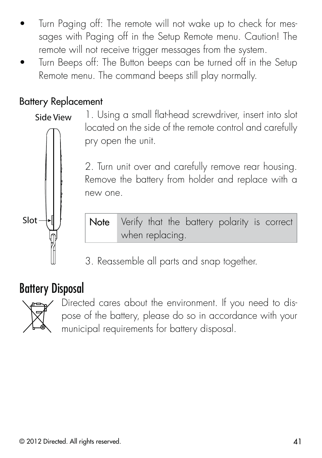- Turn Paging off: The remote will not wake up to check for messages with Paging off in the Setup Remote menu. Caution! The remote will not receive trigger messages from the system.
- Turn Beeps off: The Button beeps can be turned off in the Setup Remote menu. The command beeps still play normally.

#### Battery Replacement

1. Using a small flat-head screwdriver, insert into slot located on the side of the remote control and carefully pry open the unit. Side View

> 2. Turn unit over and carefully remove rear housing. Remove the battery from holder and replace with a new one.



Note Verify that the battery polarity is correct when replacing.

3. Reassemble all parts and snap together.

#### Battery Disposal



Directed cares about the environment. If you need to dispose of the battery, please do so in accordance with your municipal requirements for battery disposal.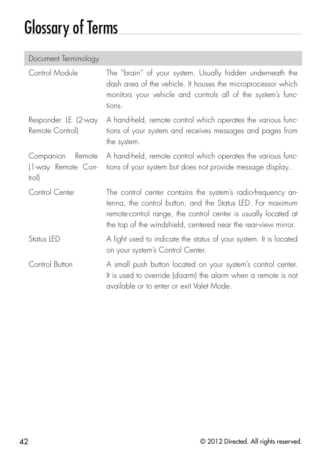## Glossary of Terms

| Document Terminology |  |
|----------------------|--|
|                      |  |

| Control Module                                     | The "brain" of your system. Usually hidden underneath the<br>dash area of the vehicle. It houses the microprocessor which<br>monitors your vehicle and controls all of the system's func-<br>tions.                                                            |
|----------------------------------------------------|----------------------------------------------------------------------------------------------------------------------------------------------------------------------------------------------------------------------------------------------------------------|
| Responder LE (2-way<br>Remote Control)             | A hand-held, remote control which operates the various func-<br>tions of your system and receives messages and pages from<br>the system.                                                                                                                       |
| Companion<br>Remote<br>(1-way Remote Con-<br>trol) | A hand-held, remote control which operates the various func-<br>tions of your system but does not provide message display                                                                                                                                      |
| Control Center                                     | The control center contains the system's radio-frequency an-<br>tenna, the control button, and the Status LED. For maximum<br>remote-control range, the control center is usually located at<br>the top of the windshield, centered near the rear-view mirror. |
| Status LED                                         | A light used to indicate the status of your system. It is located<br>on your system's Control Center.                                                                                                                                                          |
| Control Button                                     | A small push button located on your system's control center.<br>It is used to override (disarm) the alarm when a remote is not<br>available or to enter or exit Valet Mode.                                                                                    |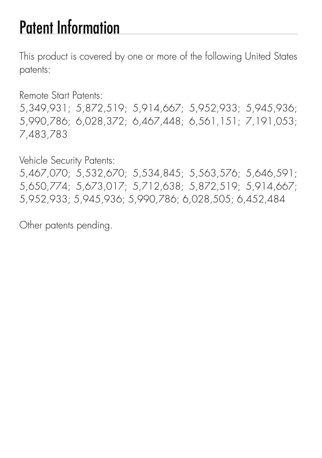## Patent Information

This product is covered by one or more of the following United States patents:

Remote Start Patents:

5,349,931; 5,872,519; 5,914,667; 5,952,933; 5,945,936; 5,990,786; 6,028,372; 6,467,448; 6,561,151; 7,191,053; 7,483,783

Vehicle Security Patents:

5,467,070; 5,532,670; 5,534,845; 5,563,576; 5,646,591; 5,650,774; 5,673,017; 5,712,638; 5,872,519; 5,914,667; 5,952,933; 5,945,936; 5,990,786; 6,028,505; 6,452,484

Other patents pending.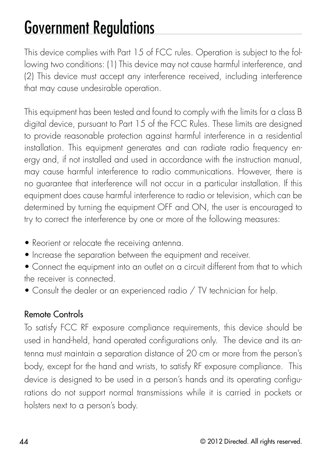## Government Regulations

This device complies with Part 15 of FCC rules. Operation is subject to the following two conditions: (1) This device may not cause harmful interference, and (2) This device must accept any interference received, including interference that may cause undesirable operation.

This equipment has been tested and found to comply with the limits for a class B digital device, pursuant to Part 15 of the FCC Rules. These limits are designed to provide reasonable protection against harmful interference in a residential installation. This equipment generates and can radiate radio frequency energy and, if not installed and used in accordance with the instruction manual, may cause harmful interference to radio communications. However, there is no guarantee that interference will not occur in a particular installation. If this equipment does cause harmful interference to radio or television, which can be determined by turning the equipment OFF and ON, the user is encouraged to try to correct the interference by one or more of the following measures:

- Reorient or relocate the receiving antenna.
- $\bullet$  Increase the separation between the equipment and receiver.
- Connect the equipment into an outlet on a circuit different from that to which the receiver is connected.
- Consult the dealer or an experienced radio / TV technician for help.

#### Remote Controls

To satisfy FCC RF exposure compliance requirements, this device should be used in hand-held, hand operated configurations only. The device and its antenna must maintain a separation distance of 20 cm or more from the person's body, except for the hand and wrists, to satisfy RF exposure compliance. This device is designed to be used in a person's hands and its operating configurations do not support normal transmissions while it is carried in pockets or holsters next to a person's body.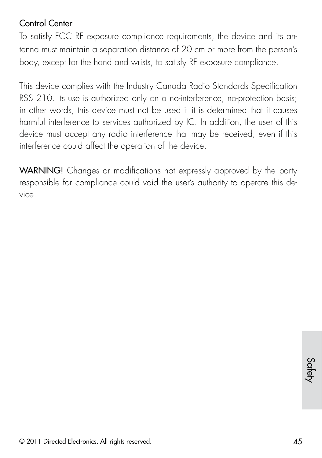#### Control Center

To satisfy FCC RF exposure compliance requirements, the device and its antenna must maintain a separation distance of 20 cm or more from the person's body, except for the hand and wrists, to satisfy RF exposure compliance.

This device complies with the Industry Canada Radio Standards Specification RSS 210. Its use is authorized only on a no-interference, no-protection basis; in other words, this device must not be used if it is determined that it causes harmful interference to services authorized by IC. In addition, the user of this device must accept any radio interference that may be received, even if this interference could affect the operation of the device.

WARNING! Changes or modifications not expressly approved by the party responsible for compliance could void the user's authority to operate this device.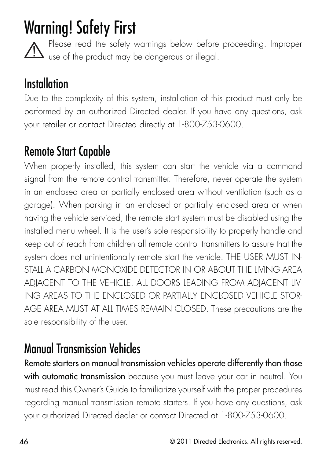## Warning! Safety First

Please read the safety warnings below before proceeding. Improper  $\Delta$  use of the product may be dangerous or illegal.

### **Installation**

Due to the complexity of this system, installation of this product must only be performed by an authorized Directed dealer. If you have any questions, ask your retailer or contact Directed directly at 1-800-753-0600.

### Remote Start Capable

When properly installed, this system can start the vehicle via a command signal from the remote control transmitter. Therefore, never operate the system in an enclosed area or partially enclosed area without ventilation (such as a garage). When parking in an enclosed or partially enclosed area or when having the vehicle serviced, the remote start system must be disabled using the installed menu wheel. It is the user's sole responsibility to properly handle and keep out of reach from children all remote control transmitters to assure that the system does not unintentionally remote start the vehicle. THE USER MUST IN-STALL A CARBON MONOXIDE DETECTOR IN OR ABOUT THE LIVING AREA ADJACENT TO THE VEHICLE. ALL DOORS LEADING FROM ADJACENT LIV-ING AREAS TO THE ENCLOSED OR PARTIALLY ENCLOSED VEHICLE STOR-AGE AREA MUST AT ALL TIMES REMAIN CLOSED. These precautions are the sole responsibility of the user.

## Manual Transmission Vehicles

Remote starters on manual transmission vehicles operate differently than those with automatic transmission because you must leave your car in neutral. You must read this Owner's Guide to familiarize yourself with the proper procedures regarding manual transmission remote starters. If you have any questions, ask your authorized Directed dealer or contact Directed at 1-800-753-0600.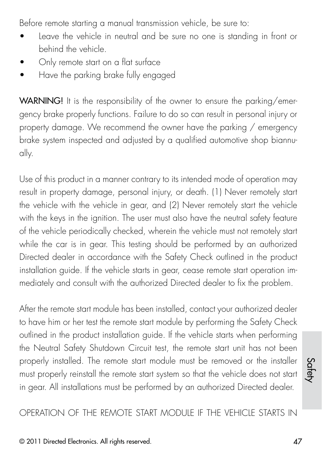Before remote starting a manual transmission vehicle, be sure to:

- Leave the vehicle in neutral and be sure no one is standing in front or behind the vehicle.
- Only remote start on a flat surface
- Have the parking brake fully engaged

WARNING! It is the responsibility of the owner to ensure the parking/emergency brake properly functions. Failure to do so can result in personal injury or property damage. We recommend the owner have the parking / emergency brake system inspected and adjusted by a qualified automotive shop biannually.

Use of this product in a manner contrary to its intended mode of operation may result in property damage, personal injury, or death. (1) Never remotely start the vehicle with the vehicle in gear, and (2) Never remotely start the vehicle with the keys in the ignition. The user must also have the neutral safety feature of the vehicle periodically checked, wherein the vehicle must not remotely start while the car is in gear. This testing should be performed by an authorized Directed dealer in accordance with the Safety Check outlined in the product installation guide. If the vehicle starts in gear, cease remote start operation immediately and consult with the authorized Directed dealer to fix the problem.

After the remote start module has been installed, contact your authorized dealer to have him or her test the remote start module by performing the Safety Check outlined in the product installation guide. If the vehicle starts when performing the Neutral Safety Shutdown Circuit test, the remote start unit has not been properly installed. The remote start module must be removed or the installer must properly reinstall the remote start system so that the vehicle does not start in gear. All installations must be performed by an authorized Directed dealer.

OPERATION OF THE REMOTE START MODULE IF THE VEHICLE STARTS IN

Safety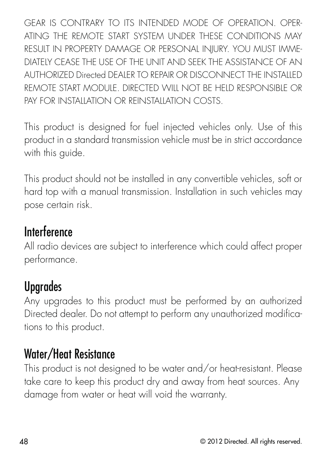GEAR IS CONTRARY TO ITS INTENDED MODE OF OPERATION. OPER-ATING THE REMOTE START SYSTEM UNDER THESE CONDITIONS MAY RESULT IN PROPERTY DAMAGE OR PERSONAL INJURY. YOU MUST IMME-DIATELY CEASE THE USE OF THE UNIT AND SEEK THE ASSISTANCE OF AN AUTHORIZED Directed DEALER TO REPAIR OR DISCONNECT THE INSTALLED REMOTE START MODULE. DIRECTED WILL NOT BE HELD RESPONSIBLE OR PAY FOR INSTALLATION OR REINSTALLATION COSTS.

This product is designed for fuel injected vehicles only. Use of this product in a standard transmission vehicle must be in strict accordance with this guide.

This product should not be installed in any convertible vehicles, soft or hard top with a manual transmission. Installation in such vehicles may pose certain risk.

#### **Interference**

All radio devices are subject to interference which could affect proper performance.

### Upgrades

Any upgrades to this product must be performed by an authorized Directed dealer. Do not attempt to perform any unauthorized modifications to this product.

#### Water/Heat Resistance

This product is not designed to be water and/or heat-resistant. Please take care to keep this product dry and away from heat sources. Any damage from water or heat will void the warranty.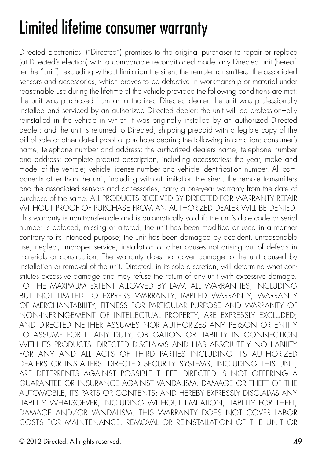# Limited lifetime consumer warranty

Directed Electronics. ("Directed") promises to the original purchaser to repair or replace (at Directed's election) with a comparable reconditioned model any Directed unit (hereafter the "unit"), excluding without limitation the siren, the remote transmitters, the associated sensors and accessories, which proves to be defective in workmanship or material under reasonable use during the lifetime of the vehicle provided the following conditions are met: the unit was purchased from an authorized Directed dealer, the unit was professionally installed and serviced by an authorized Directed dealer; the unit will be profession¬ally reinstalled in the vehicle in which it was originally installed by an authorized Directed dealer; and the unit is returned to Directed, shipping prepaid with a legible copy of the bill of sale or other dated proof of purchase bearing the following information: consumer's name, telephone number and address; the authorized dealers name, telephone number and address; complete product description, including accessories; the year, make and model of the vehicle; vehicle license number and vehicle identification number. All components other than the unit, including without limitation the siren, the remote transmitters and the associated sensors and accessories, carry a one-year warranty from the date of purchase of the same. ALL PRODUCTS RECEIVED BY DIRECTED FOR WARRANTY REPAIR WITHOUT PROOF OF PURCHASE FROM AN AUTHORIZED DEALER WILL BE DENIED. This warranty is non-transferable and is automatically void if: the unit's date code or serial number is defaced, missing or altered; the unit has been modified or used in a manner contrary to its intended purpose; the unit has been damaged by accident, unreasonable use, neglect, improper service, installation or other causes not arising out of defects in materials or construction. The warranty does not cover damage to the unit caused by installation or removal of the unit. Directed, in its sole discretion, will determine what constitutes excessive damage and may refuse the return of any unit with excessive damage. TO THE MAXIMUM EXTENT ALLOWED BY LAW, ALL WARRANTIES, INCLUDING BUT NOT LIMITED TO EXPRESS WARRANTY, IMPLIED WARRANTY, WARRANTY OF MERCHANTABILITY, FITNESS FOR PARTICULAR PURPOSE AND WARRANTY OF NON-INFRINGEMENT OF INTELLECTUAL PROPERTY, ARE EXPRESSLY EXCLUDED; AND DIRECTED NEITHER ASSUMES NOR AUTHORIZES ANY PERSON OR ENTITY TO ASSUME FOR IT ANY DUTY, OBLIGATION OR LIABILITY IN CONNECTION WITH ITS PRODUCTS. DIRECTED DISCLAIMS AND HAS ABSOLUTELY NO LIABILITY FOR ANY AND ALL ACTS OF THIRD PARTIES INCLUDING ITS AUTHORIZED DEALERS OR INSTALLERS. DIRECTED SECURITY SYSTEMS, INCLUDING THIS UNIT, ARE DETERRENTS AGAINST POSSIBLE THEFT. DIRECTED IS NOT OFFERING A GUARANTEE OR INSURANCE AGAINST VANDALISM, DAMAGE OR THEFT OF THE AUTOMOBILE, ITS PARTS OR CONTENTS; AND HEREBY EXPRESSLY DISCLAIMS ANY LIABILITY WHATSOEVER, INCLUDING WITHOUT LIMITATION, LIABILITY FOR THEFT, DAMAGE AND/OR VANDALISM. THIS WARRANTY DOES NOT COVER LABOR COSTS FOR MAINTENANCE, REMOVAL OR REINSTALLATION OF THE UNIT OR